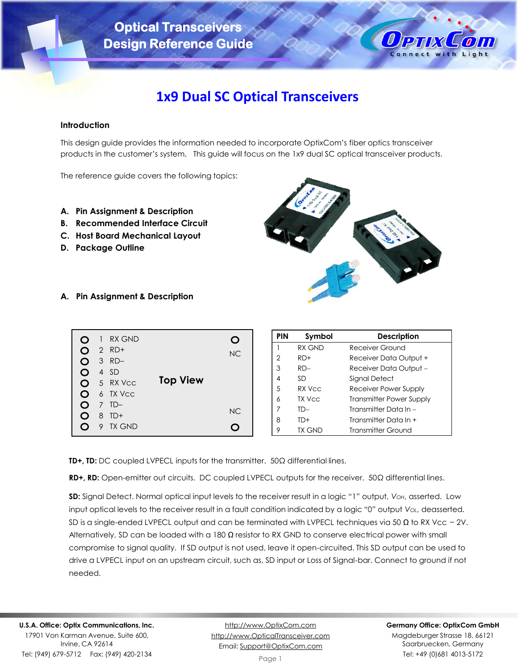

# **1x9 Dual SC Optical Transceivers**

## **Introduction**

This design guide provides the information needed to incorporate OptixCom's fiber optics transceiver products in the customer's system. This guide will focus on the 1x9 dual SC optical transceiver products.

The reference guide covers the following topics:

- **A. Pin Assignment & Description**
- **B. Recommended Interface Circuit**
- **C. Host Board Mechanical Layout**
- **D. Package Outline**



**A. Pin Assignment & Description**

|        |   | 1 RX GND |                 |     |
|--------|---|----------|-----------------|-----|
|        |   | $2$ RD+  |                 | NC. |
| Ω      |   | $3$ RD-  |                 |     |
| Ω      |   | 4 SD     |                 |     |
| O      |   | 5 RX Vcc | <b>Top View</b> |     |
| O      |   | 6 TX Vcc |                 |     |
| $\cup$ |   | $7$ TD-  |                 |     |
| $\Box$ | 8 | $TD+$    |                 | NC. |
|        |   | 9 TX GND |                 |     |

| <b>PIN</b> | Symbol | <b>Description</b>       |
|------------|--------|--------------------------|
|            | RX GND | Receiver Ground          |
| 2          | $RD+$  | Receiver Data Output +   |
| 3          | $RD -$ | Receiver Data Output -   |
| 4          | SD     | Signal Detect            |
| 5          | RX Vcc | Receiver Power Supply    |
| 6          | TX Vcc | Transmitter Power Supply |
| 7          | TD—    | Transmitter Data In $-$  |
| 8          | TD+    | Transmitter Data In +    |
| 9          | TX GND | Transmitter Ground       |

**TD+, TD:** DC coupled LVPECL inputs for the transmitter. 50Ω differential lines.

**RD+, RD:** Open-emitter out circuits. DC coupled LVPECL outputs for the receiver. 50Ω differential lines.

**SD:** Signal Detect. Normal optical input levels to the receiver result in a logic "1" output, *VOH*, asserted. Low input optical levels to the receiver result in a fault condition indicated by a logic "0" output *VOL*, deasserted. SD is a single-ended LVPECL output and can be terminated with LVPECL techniques via 50  $\Omega$  to RX Vcc - 2V. Alternatively, SD can be loaded with a 180  $\Omega$  resistor to RX GND to conserve electrical power with small compromise to signal quality. If SD output is not used, leave it open-circuited. This SD output can be used to drive a LVPECL input on an upstream circuit, such as, SD input or Loss of Signal-bar. Connect to ground if not needed.

Tel: (949) 679-5712 Fax: (949) 420-2134

[http://www.OptixCom.com](http://www.optixcom.com/) [http://www.OpticalTransceiver.com](http://www.optoictech.com/) Email: [Support@OptixCom.com](mailto:Support@optoICtech.com)

#### **Germany Office: OptixCom GmbH**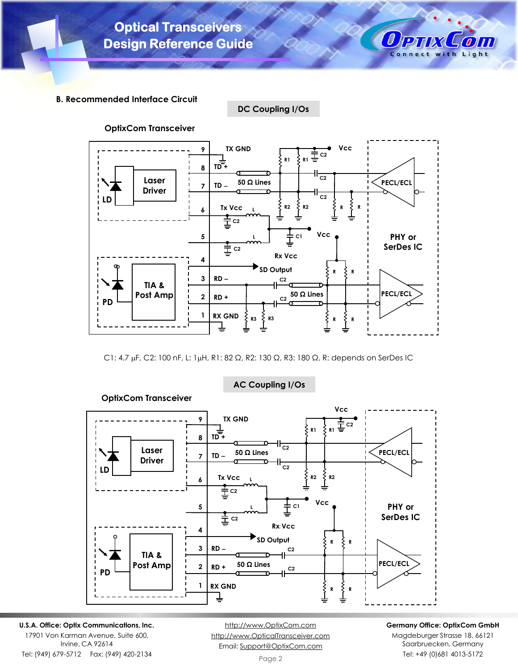

**DC Coupling I/Os**



C1: 4.7 μF, C2: 100 nF, L: 1μH, R1: 82 Ω, R2: 130 Ω, R3: 180 Ω, R: depends on SerDes IC



## **AC Coupling I/Os**

**U.S.A. Office: Optix Communications, Inc.** 17901 Von Karman Avenue, Suite 600,

Irvine, CA 92614 Tel: (949) 679-5712 Fax: (949) 420-2134

[http://www.OptixCom.com](http://www.optixcom.com/) [http://www.OpticalTransceiver.com](http://www.optoictech.com/) Email: [Support@OptixCom.com](mailto:Support@optoICtech.com)

#### **Germany Office: OptixCom GmbH**

 $\bm{0}$ PTIX

Connect with Light

Сош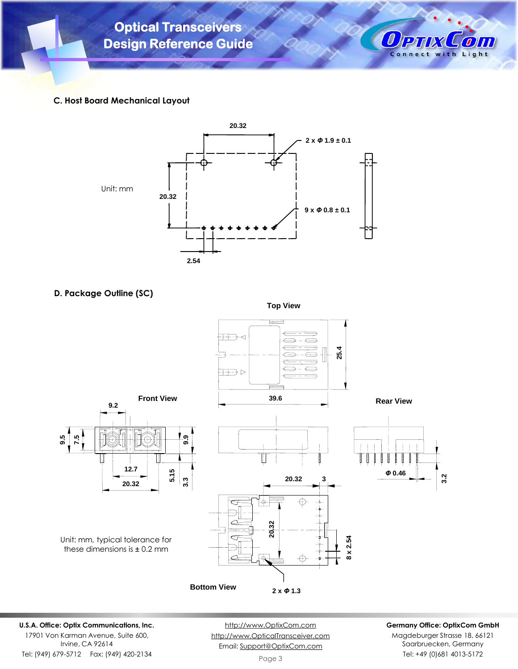



## **C. Host Board Mechanical Layout**



## **D. Package Outline (SC)**

**Top View**



## **U.S.A. Office: Optix Communications, Inc.**

17901 Von Karman Avenue, Suite 600, Irvine, CA 92614 Tel: (949) 679-5712 Fax: (949) 420-2134

[http://www.OptixCom.com](http://www.optixcom.com/) [http://www.OpticalTransceiver.com](http://www.optoictech.com/) Email: [Support@OptixCom.com](mailto:Support@optoICtech.com)

#### **Germany Office: OptixCom GmbH**